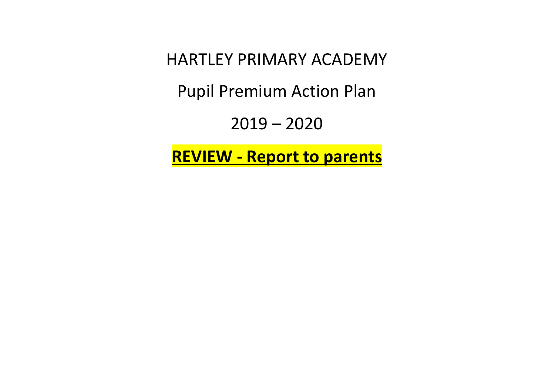HARTLEY PRIMARY ACADEMY

Pupil Premium Action Plan

2019 – 2020

**REVIEW - Report to parents**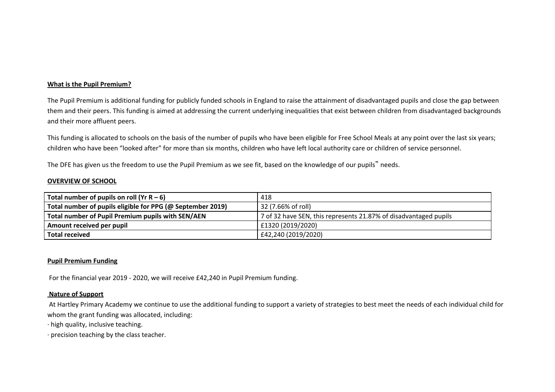### **What is the Pupil Premium?**

The Pupil Premium is additional funding for publicly funded schools in England to raise the attainment of disadvantaged pupils and close the gap between them and their peers. This funding is aimed at addressing the current underlying inequalities that exist between children from disadvantaged backgrounds and their more affluent peers.

This funding is allocated to schools on the basis of the number of pupils who have been eligible for Free School Meals at any point over the last six years; children who have been "looked after" for more than six months, children who have left local authority care or children of service personnel.

The DFE has given us the freedom to use the Pupil Premium as we see fit, based on the knowledge of our pupils" needs.

### **OVERVIEW OF SCHOOL**

| Total number of pupils on roll (Yr $R - 6$ )               | 418                                                              |
|------------------------------------------------------------|------------------------------------------------------------------|
| Total number of pupils eligible for PPG (@ September 2019) | 32 (7.66% of roll)                                               |
| Total number of Pupil Premium pupils with SEN/AEN          | 7 of 32 have SEN, this represents 21.87% of disadvantaged pupils |
| Amount received per pupil                                  | £1320 (2019/2020)                                                |
| Total received                                             | £42,240 (2019/2020)                                              |

#### **Pupil Premium Funding**

For the financial year 2019 - 2020, we will receive £42,240 in Pupil Premium funding.

#### **Nature of Support**

At Hartley Primary Academy we continue to use the additional funding to support a variety of strategies to best meet the needs of each individual child for whom the grant funding was allocated, including:

· high quality, inclusive teaching.

· precision teaching by the class teacher.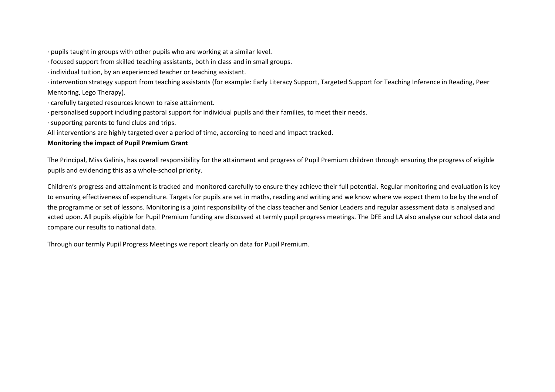· pupils taught in groups with other pupils who are working at a similar level.

· focused support from skilled teaching assistants, both in class and in small groups.

· individual tuition, by an experienced teacher or teaching assistant.

· intervention strategy support from teaching assistants (for example: Early Literacy Support, Targeted Support for Teaching Inference in Reading, Peer Mentoring, Lego Therapy).

· carefully targeted resources known to raise attainment.

· personalised support including pastoral support for individual pupils and their families, to meet their needs.

· supporting parents to fund clubs and trips.

All interventions are highly targeted over a period of time, according to need and impact tracked.

### **Monitoring the impact of Pupil Premium Grant**

The Principal, Miss Galinis, has overall responsibility for the attainment and progress of Pupil Premium children through ensuring the progress of eligible pupils and evidencing this as a whole-school priority.

Children's progress and attainment is tracked and monitored carefully to ensure they achieve their full potential. Regular monitoring and evaluation is key to ensuring effectiveness of expenditure. Targets for pupils are set in maths, reading and writing and we know where we expect them to be by the end of the programme or set of lessons. Monitoring is a joint responsibility of the class teacher and Senior Leaders and regular assessment data is analysed and acted upon. All pupils eligible for Pupil Premium funding are discussed at termly pupil progress meetings. The DFE and LA also analyse our school data and compare our results to national data.

Through our termly Pupil Progress Meetings we report clearly on data for Pupil Premium.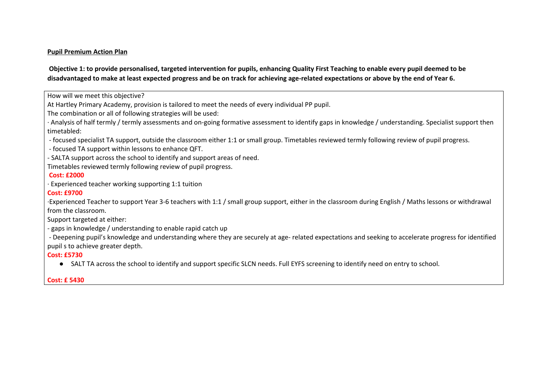#### **Pupil Premium Action Plan**

Objective 1: to provide personalised, targeted intervention for pupils, enhancing Quality First Teaching to enable every pupil deemed to be disadvantaged to make at least expected progress and be on track for achieving age-related expectations or above by the end of Year 6.

How will we meet this objective?

At Hartley Primary Academy, provision is tailored to meet the needs of every individual PP pupil.

The combination or all of following strategies will be used:

· Analysis of half termly / termly assessments and on-going formative assessment to identify gaps in knowledge / understanding. Specialist support then timetabled:

- focused specialist TA support, outside the classroom either 1:1 or small group. Timetables reviewed termly following review of pupil progress.

- focused TA support within lessons to enhance QFT.

- SALTA support across the school to identify and support areas of need.

Timetables reviewed termly following review of pupil progress.

## **Cost: £2000**

· Experienced teacher working supporting 1:1 tuition

# **Cost: £9700**

·Experienced Teacher to support Year 3-6 teachers with 1:1 / small group support, either in the classroom during English / Maths lessons or withdrawal from the classroom.

Support targeted at either:

- gaps in knowledge / understanding to enable rapid catch up

- Deepening pupil's knowledge and understanding where they are securely at age- related expectations and seeking to accelerate progress for identified pupil s to achieve greater depth.

# **Cost: £5730**

● SALT TA across the school to identify and support specific SLCN needs. Full EYFS screening to identify need on entry to school.

# **Cost: £ 5430**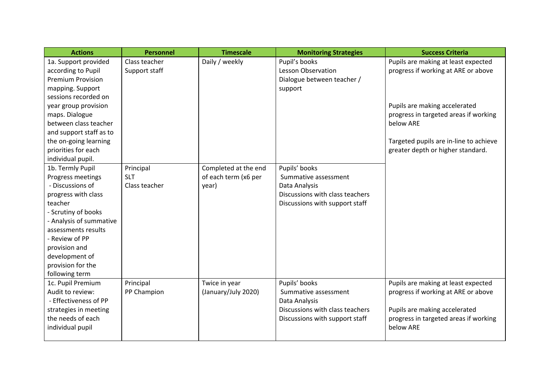| <b>Actions</b>           | <b>Personnel</b> | <b>Timescale</b>     | <b>Monitoring Strategies</b>    | <b>Success Criteria</b>                |
|--------------------------|------------------|----------------------|---------------------------------|----------------------------------------|
| 1a. Support provided     | Class teacher    | Daily / weekly       | Pupil's books                   | Pupils are making at least expected    |
| according to Pupil       | Support staff    |                      | <b>Lesson Observation</b>       | progress if working at ARE or above    |
| <b>Premium Provision</b> |                  |                      | Dialogue between teacher /      |                                        |
| mapping. Support         |                  |                      | support                         |                                        |
| sessions recorded on     |                  |                      |                                 |                                        |
| year group provision     |                  |                      |                                 | Pupils are making accelerated          |
| maps. Dialogue           |                  |                      |                                 | progress in targeted areas if working  |
| between class teacher    |                  |                      |                                 | below ARE                              |
| and support staff as to  |                  |                      |                                 |                                        |
| the on-going learning    |                  |                      |                                 | Targeted pupils are in-line to achieve |
| priorities for each      |                  |                      |                                 | greater depth or higher standard.      |
| individual pupil.        |                  |                      |                                 |                                        |
| 1b. Termly Pupil         | Principal        | Completed at the end | Pupils' books                   |                                        |
| Progress meetings        | <b>SLT</b>       | of each term (x6 per | Summative assessment            |                                        |
| - Discussions of         | Class teacher    | year)                | Data Analysis                   |                                        |
| progress with class      |                  |                      | Discussions with class teachers |                                        |
| teacher                  |                  |                      | Discussions with support staff  |                                        |
| - Scrutiny of books      |                  |                      |                                 |                                        |
| - Analysis of summative  |                  |                      |                                 |                                        |
| assessments results      |                  |                      |                                 |                                        |
| - Review of PP           |                  |                      |                                 |                                        |
| provision and            |                  |                      |                                 |                                        |
| development of           |                  |                      |                                 |                                        |
| provision for the        |                  |                      |                                 |                                        |
| following term           |                  |                      |                                 |                                        |
| 1c. Pupil Premium        | Principal        | Twice in year        | Pupils' books                   | Pupils are making at least expected    |
| Audit to review:         | PP Champion      | (January/July 2020)  | Summative assessment            | progress if working at ARE or above    |
| - Effectiveness of PP    |                  |                      | Data Analysis                   |                                        |
| strategies in meeting    |                  |                      | Discussions with class teachers | Pupils are making accelerated          |
| the needs of each        |                  |                      | Discussions with support staff  | progress in targeted areas if working  |
| individual pupil         |                  |                      |                                 | below ARE                              |
|                          |                  |                      |                                 |                                        |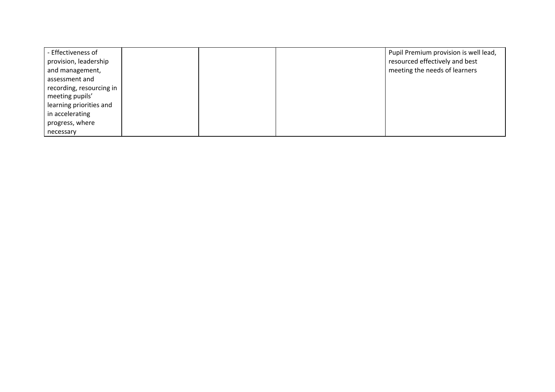| - Effectiveness of       |  | Pupil Premium provision is well lead, |
|--------------------------|--|---------------------------------------|
| provision, leadership    |  | resourced effectively and best        |
| and management,          |  | meeting the needs of learners         |
| assessment and           |  |                                       |
| recording, resourcing in |  |                                       |
| meeting pupils'          |  |                                       |
| learning priorities and  |  |                                       |
| in accelerating          |  |                                       |
| progress, where          |  |                                       |
| necessary                |  |                                       |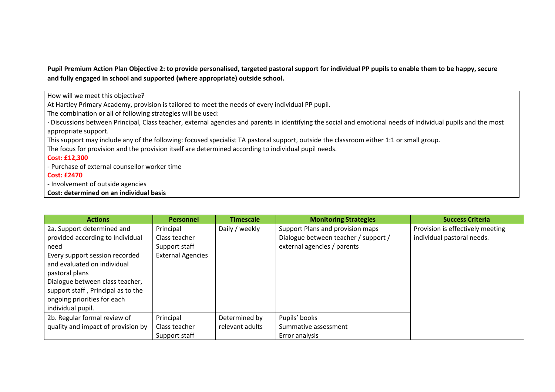Pupil Premium Action Plan Objective 2: to provide personalised, targeted pastoral support for individual PP pupils to enable them to be happy, secure **and fully engaged in school and supported (where appropriate) outside school.**

How will we meet this objective?

At Hartley Primary Academy, provision is tailored to meet the needs of every individual PP pupil.

The combination or all of following strategies will be used:

· Discussions between Principal, Class teacher, external agencies and parents in identifying the social and emotional needs of individual pupils and the most appropriate support.

This support may include any of the following: focused specialist TA pastoral support, outside the classroom either 1:1 or small group.

The focus for provision and the provision itself are determined according to individual pupil needs.

## **Cost: £12,300**

- Purchase of external counsellor worker time

## **Cost: £2470**

- Involvement of outside agencies

### **Cost: determined on an individual basis**

| <b>Actions</b>                     | <b>Personnel</b>         | <b>Timescale</b> | <b>Monitoring Strategies</b>         | <b>Success Criteria</b>          |
|------------------------------------|--------------------------|------------------|--------------------------------------|----------------------------------|
| 2a. Support determined and         | Principal                | Daily / weekly   | Support Plans and provision maps     | Provision is effectively meeting |
| provided according to Individual   | Class teacher            |                  | Dialogue between teacher / support / | individual pastoral needs.       |
| need                               | Support staff            |                  | external agencies / parents          |                                  |
| Every support session recorded     | <b>External Agencies</b> |                  |                                      |                                  |
| and evaluated on individual        |                          |                  |                                      |                                  |
| pastoral plans                     |                          |                  |                                      |                                  |
| Dialogue between class teacher,    |                          |                  |                                      |                                  |
| support staff, Principal as to the |                          |                  |                                      |                                  |
| ongoing priorities for each        |                          |                  |                                      |                                  |
| individual pupil.                  |                          |                  |                                      |                                  |
| 2b. Regular formal review of       | Principal                | Determined by    | Pupils' books                        |                                  |
| quality and impact of provision by | Class teacher            | relevant adults  | Summative assessment                 |                                  |
|                                    | Support staff            |                  | Error analysis                       |                                  |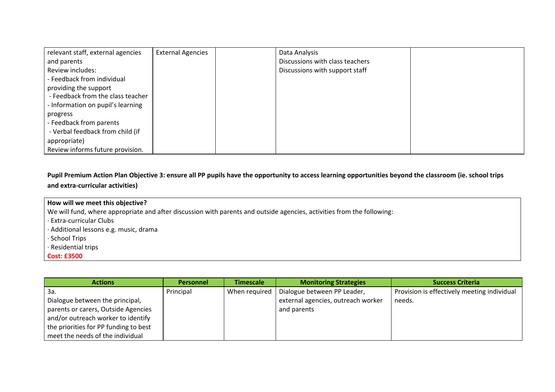| relevant staff, external agencies | <b>External Agencies</b> | Data Analysis                   |  |
|-----------------------------------|--------------------------|---------------------------------|--|
| and parents                       |                          | Discussions with class teachers |  |
| Review includes:                  |                          | Discussions with support staff  |  |
| - Feedback from individual        |                          |                                 |  |
| providing the support             |                          |                                 |  |
| - Feedback from the class teacher |                          |                                 |  |
| - Information on pupil's learning |                          |                                 |  |
| progress                          |                          |                                 |  |
| - Feedback from parents           |                          |                                 |  |
| - Verbal feedback from child (if  |                          |                                 |  |
| appropriate)                      |                          |                                 |  |
| Review informs future provision.  |                          |                                 |  |

Pupil Premium Action Plan Objective 3: ensure all PP pupils have the opportunity to access learning opportunities beyond the classroom (ie. school trips **and extra-curricular activities)**

| How will we meet this objective?                                                                                       |
|------------------------------------------------------------------------------------------------------------------------|
| We will fund, where appropriate and after discussion with parents and outside agencies, activities from the following: |
| · Extra-curricular Clubs                                                                                               |
| · Additional lessons e.g. music, drama                                                                                 |
| · School Trips                                                                                                         |
| · Residential trips                                                                                                    |
| <b>Cost: £3500</b>                                                                                                     |

| <b>Actions</b>                        | <b>Personnel</b> | <b>Timescale</b> | <b>Monitoring Strategies</b>       | <b>Success Criteria</b>                     |
|---------------------------------------|------------------|------------------|------------------------------------|---------------------------------------------|
| За.                                   | Principal        | When required    | Dialogue between PP Leader,        | Provision is effectively meeting individual |
| Dialogue between the principal,       |                  |                  | external agencies, outreach worker | needs.                                      |
| parents or carers, Outside Agencies   |                  |                  | and parents                        |                                             |
| and/or outreach worker to identify    |                  |                  |                                    |                                             |
| the priorities for PP funding to best |                  |                  |                                    |                                             |
| meet the needs of the individual      |                  |                  |                                    |                                             |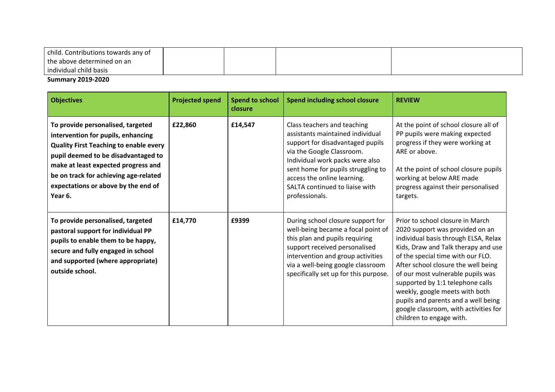| child. Contributions towards any of |  |  |
|-------------------------------------|--|--|
| the above determined on an          |  |  |
| individual child basis              |  |  |

# **Summary 2019-2020**

| <b>Objectives</b>                                                                                                                                                                                                                                                                                 | <b>Projected spend</b> | <b>Spend to school</b><br>closure | <b>Spend including school closure</b>                                                                                                                                                                                                                                                        | <b>REVIEW</b>                                                                                                                                                                                                                                                                                                                                                                                                                                         |
|---------------------------------------------------------------------------------------------------------------------------------------------------------------------------------------------------------------------------------------------------------------------------------------------------|------------------------|-----------------------------------|----------------------------------------------------------------------------------------------------------------------------------------------------------------------------------------------------------------------------------------------------------------------------------------------|-------------------------------------------------------------------------------------------------------------------------------------------------------------------------------------------------------------------------------------------------------------------------------------------------------------------------------------------------------------------------------------------------------------------------------------------------------|
| To provide personalised, targeted<br>intervention for pupils, enhancing<br><b>Quality First Teaching to enable every</b><br>pupil deemed to be disadvantaged to<br>make at least expected progress and<br>be on track for achieving age-related<br>expectations or above by the end of<br>Year 6. | £22,860                | £14,547                           | Class teachers and teaching<br>assistants maintained individual<br>support for disadvantaged pupils<br>via the Google Classroom.<br>Individual work packs were also<br>sent home for pupils struggling to<br>access the online learning.<br>SALTA continued to liaise with<br>professionals. | At the point of school closure all of<br>PP pupils were making expected<br>progress if they were working at<br>ARE or above.<br>At the point of school closure pupils<br>working at below ARE made<br>progress against their personalised<br>targets.                                                                                                                                                                                                 |
| To provide personalised, targeted<br>pastoral support for individual PP<br>pupils to enable them to be happy,<br>secure and fully engaged in school<br>and supported (where appropriate)<br>outside school.                                                                                       | £14,770                | £9399                             | During school closure support for<br>well-being became a focal point of<br>this plan and pupils requiring<br>support received personalised<br>intervention and group activities<br>via a well-being google classroom<br>specifically set up for this purpose.                                | Prior to school closure in March<br>2020 support was provided on an<br>individual basis through ELSA, Relax<br>Kids, Draw and Talk therapy and use<br>of the special time with our FLO.<br>After school closure the well being<br>of our most vulnerable pupils was<br>supported by 1:1 telephone calls<br>weekly, google meets with both<br>pupils and parents and a well being<br>google classroom, with activities for<br>children to engage with. |